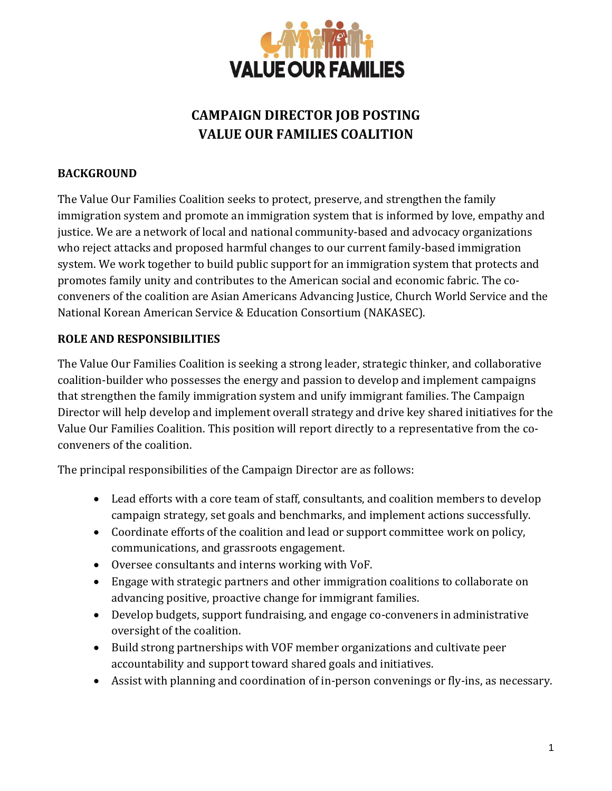

## **CAMPAIGN DIRECTOR JOB POSTING VALUE OUR FAMILIES COALITION**

## **BACKGROUND**

The Value Our Families Coalition seeks to protect, preserve, and strengthen the family immigration system and promote an immigration system that is informed by love, empathy and justice. We are a network of local and national community-based and advocacy organizations who reject attacks and proposed harmful changes to our current family-based immigration system. We work together to build public support for an immigration system that protects and promotes family unity and contributes to the American social and economic fabric. The coconveners of the coalition are Asian Americans Advancing Justice, Church World Service and the National Korean American Service & Education Consortium (NAKASEC).

## **ROLE AND RESPONSIBILITIES**

The Value Our Families Coalition is seeking a strong leader, strategic thinker, and collaborative coalition-builder who possesses the energy and passion to develop and implement campaigns that strengthen the family immigration system and unify immigrant families. The Campaign Director will help develop and implement overall strategy and drive key shared initiatives for the Value Our Families Coalition. This position will report directly to a representative from the coconveners of the coalition.

The principal responsibilities of the Campaign Director are as follows:

- Lead efforts with a core team of staff, consultants, and coalition members to develop campaign strategy, set goals and benchmarks, and implement actions successfully.
- Coordinate efforts of the coalition and lead or support committee work on policy, communications, and grassroots engagement.
- Oversee consultants and interns working with VoF.
- Engage with strategic partners and other immigration coalitions to collaborate on advancing positive, proactive change for immigrant families.
- Develop budgets, support fundraising, and engage co-conveners in administrative oversight of the coalition.
- Build strong partnerships with VOF member organizations and cultivate peer accountability and support toward shared goals and initiatives.
- Assist with planning and coordination of in-person convenings or fly-ins, as necessary.